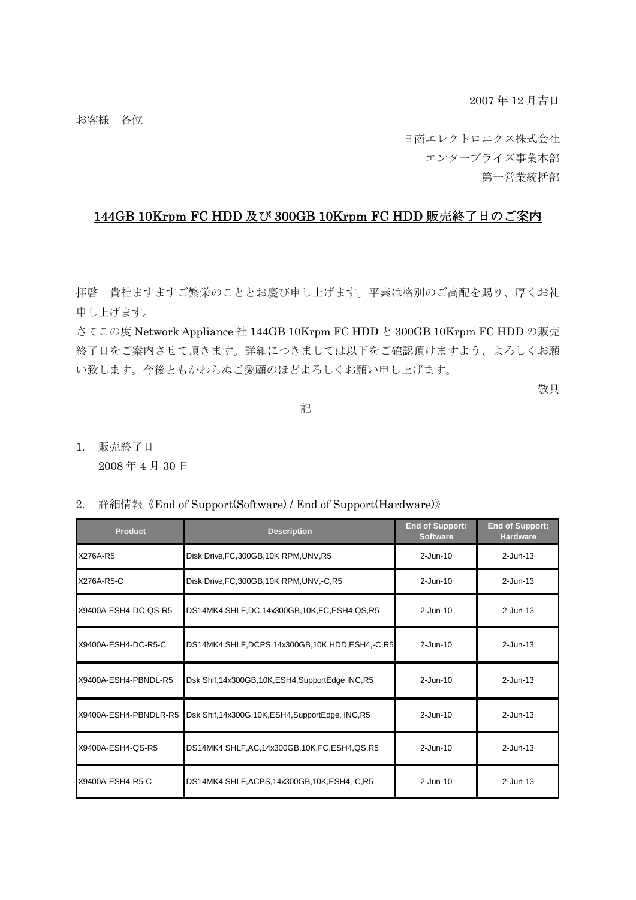お客様 各位

日商エレクトロニクス株式会社 エンタープライズ事業本部 第一営業統括部

## 144GB 10Krpm FC HDD 及び 300GB 10Krpm FC HDD 販売終了日のご案内

拝啓 貴社ますますご繁栄のこととお慶び申し上げます。平素は格別のご高配を賜り、厚くお礼 申し上げます。

さてこの度 Network Appliance 社 144GB 10Krpm FC HDD と 300GB 10Krpm FC HDD の販売 終了日をご案内させて頂きます。詳細につきましては以下をご確認頂けますよう、よろしくお願 い致します。今後ともかわらぬご愛顧のほどよろしくお願い申し上げます。

敬具

アンディア アクセス しんしょう しんしょう こうしょう 記

1. 販売終了日

2008 年 4 月 30 日

2. 詳細情報《End of Support(Software) / End of Support(Hardware)》

| <b>Product</b>        | <b>Description</b>                                   | <b>End of Support:</b><br><b>Software</b> | <b>End of Support:</b><br><b>Hardware</b> |
|-----------------------|------------------------------------------------------|-------------------------------------------|-------------------------------------------|
| X276A-R5              | Disk Drive, FC, 300GB, 10K RPM, UNV, R5              | $2$ -Jun-10                               | $2$ -Jun-13                               |
| X276A-R5-C            | Disk Drive, FC, 300GB, 10K RPM, UNV, -C, R5          | $2$ -Jun-10                               | $2$ -Jun-13                               |
| X9400A-ESH4-DC-QS-R5  | DS14MK4 SHLF,DC,14x300GB,10K,FC,ESH4,QS,R5           | $2$ -Jun-10                               | $2$ -Jun-13                               |
| X9400A-ESH4-DC-R5-C   | DS14MK4 SHLF, DCPS, 14x300GB, 10K, HDD, ESH4, -C, R5 | $2$ -Jun-10                               | $2$ -Jun-13                               |
| X9400A-ESH4-PBNDL-R5  | Dsk Shlf, 14x300GB, 10K, ESH4, SupportEdge INC, R5   | $2 - Jun-10$                              | $2$ -Jun-13                               |
| X9400A-ESH4-PBNDLR-R5 | Dsk Shlf, 14x300G, 10K, ESH4, SupportEdge, INC, R5   | $2$ -Jun-10                               | $2$ -Jun-13                               |
| X9400A-ESH4-QS-R5     | DS14MK4 SHLF, AC, 14x300GB, 10K, FC, ESH4, QS, R5    | $2$ -Jun-10                               | $2$ -Jun-13                               |
| X9400A-ESH4-R5-C      | DS14MK4 SHLF, ACPS, 14x300GB, 10K, ESH4, -C, R5      | $2$ -Jun-10                               | $2$ -Jun-13                               |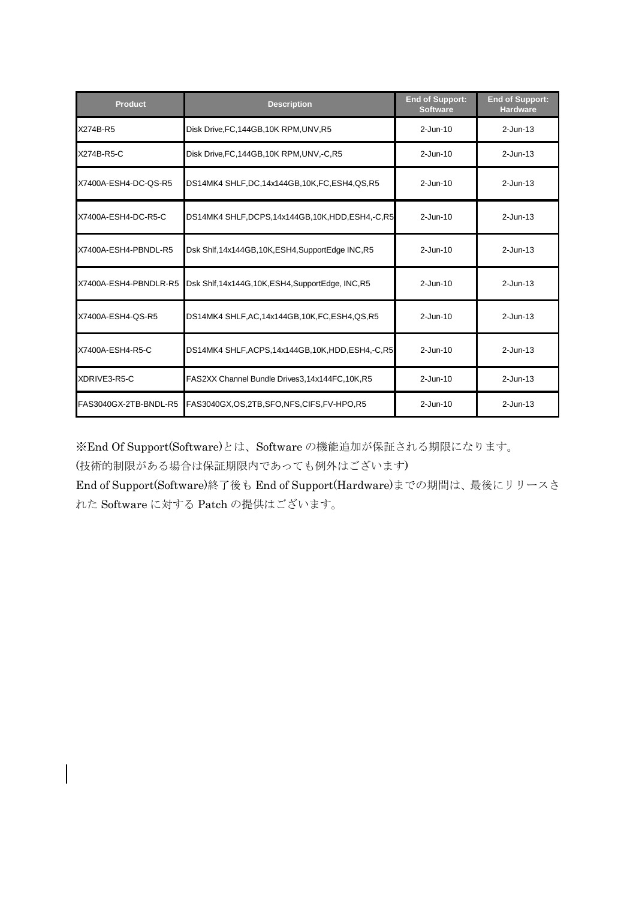| <b>Product</b>        | <b>Description</b>                                   | <b>End of Support:</b><br><b>Software</b> | <b>End of Support:</b><br><b>Hardware</b> |
|-----------------------|------------------------------------------------------|-------------------------------------------|-------------------------------------------|
| X274B-R5              | Disk Drive, FC, 144GB, 10K RPM, UNV, R5              | $2$ -Jun-10                               | $2$ -Jun-13                               |
| X274B-R5-C            | Disk Drive, FC, 144GB, 10K RPM, UNV, -C, R5          | $2 - Jun-10$                              | $2$ -Jun-13                               |
| X7400A-ESH4-DC-QS-R5  | DS14MK4 SHLF,DC,14x144GB,10K,FC,ESH4,QS,R5           | $2$ -Jun-10                               | $2$ -Jun-13                               |
| X7400A-ESH4-DC-R5-C   | DS14MK4 SHLF, DCPS, 14x144GB, 10K, HDD, ESH4, -C, R5 | $2-Jun-10$                                | $2$ -Jun-13                               |
| X7400A-ESH4-PBNDL-R5  | Dsk Shlf, 14x144GB, 10K, ESH4, SupportEdge INC, R5   | $2$ -Jun-10                               | $2$ -Jun-13                               |
| X7400A-ESH4-PBNDLR-R5 | Dsk Shlf, 14x144G, 10K, ESH4, SupportEdge, INC, R5   | $2$ -Jun-10                               | $2$ -Jun-13                               |
| X7400A-ESH4-QS-R5     | DS14MK4 SHLF, AC, 14x144GB, 10K, FC, ESH4, QS, R5    | $2$ -Jun-10                               | $2$ -Jun-13                               |
| X7400A-ESH4-R5-C      | DS14MK4 SHLF, ACPS, 14x144GB, 10K, HDD, ESH4, -C, R5 | $2$ -Jun-10                               | $2$ -Jun-13                               |
| XDRIVE3-R5-C          | FAS2XX Channel Bundle Drives3,14x144FC,10K,R5        | $2 - Jun-10$                              | $2$ -Jun-13                               |
| FAS3040GX-2TB-BNDL-R5 | FAS3040GX,OS,2TB,SFO,NFS,CIFS,FV-HPO,R5              | $2 - Jun-10$                              | $2$ -Jun-13                               |

※End Of Support(Software)とは、Software の機能追加が保証される期限になります。

(技術的制限がある場合は保証期限内であっても例外はございます)

End of Support(Software)終了後も End of Support(Hardware)までの期間は、最後にリリースさ れた Software に対する Patch の提供はございます。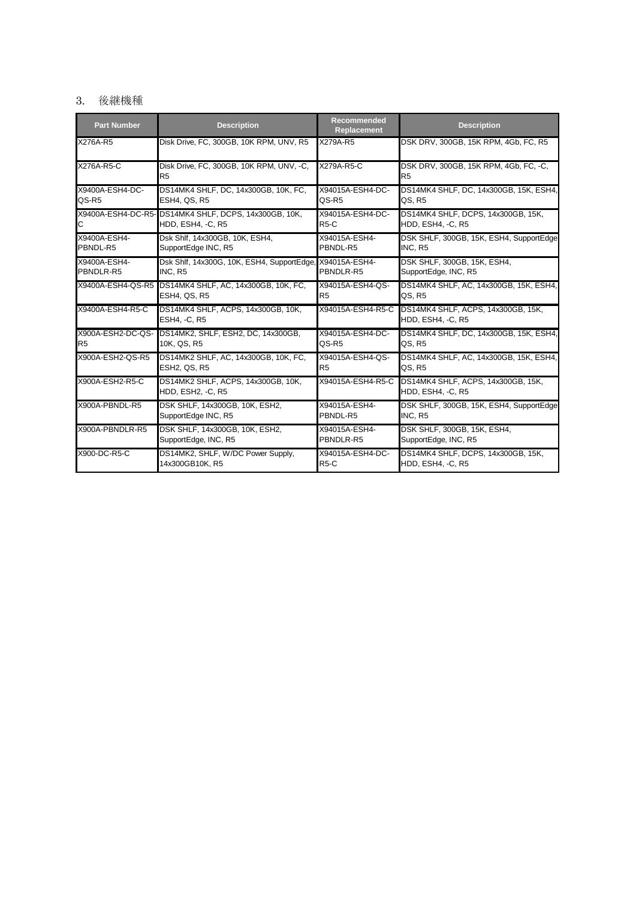## 3. 後継機種

| <b>Part Number</b> | <b>Description</b>                                         | Recommended<br><b>Replacement</b> | <b>Description</b>                                                               |
|--------------------|------------------------------------------------------------|-----------------------------------|----------------------------------------------------------------------------------|
| X276A-R5           | Disk Drive, FC, 300GB, 10K RPM, UNV, R5                    | X279A-R5                          | DSK DRV, 300GB, 15K RPM, 4Gb, FC, R5                                             |
| X276A-R5-C         | Disk Drive, FC, 300GB, 10K RPM, UNV, -C,<br>R <sub>5</sub> | X279A-R5-C                        | DSK DRV, 300GB, 15K RPM, 4Gb, FC, -C,<br>R <sub>5</sub>                          |
| X9400A-ESH4-DC-    | DS14MK4 SHLF, DC, 14x300GB, 10K, FC,                       | X94015A-ESH4-DC-                  | DS14MK4 SHLF, DC, 14x300GB, 15K, ESH4,                                           |
| QS-R5              | <b>ESH4, QS, R5</b>                                        | QS-R5                             | QS, R5                                                                           |
| С                  | X9400A-ESH4-DC-R5- DS14MK4 SHLF, DCPS, 14x300GB, 10K,      | X94015A-ESH4-DC-                  | DS14MK4 SHLF, DCPS, 14x300GB, 15K,                                               |
|                    | HDD, ESH4, -C, R5                                          | $R5-C$                            | <b>HDD, ESH4, -C, R5</b>                                                         |
| X9400A-ESH4-       | Dsk Shlf, 14x300GB, 10K, ESH4,                             | X94015A-ESH4-                     | DSK SHLF, 300GB, 15K, ESH4, SupportEdge                                          |
| PBNDL-R5           | SupportEdge INC, R5                                        | PBNDL-R5                          | INC, R5                                                                          |
| X9400A-ESH4-       | Dsk Shlf, 14x300G, 10K, ESH4, SupportEdge, X94015A-ESH4-   | PBNDLR-R5                         | DSK SHLF, 300GB, 15K, ESH4,                                                      |
| PBNDLR-R5          | INC. R5                                                    |                                   | SupportEdge, INC, R5                                                             |
|                    | X9400A-ESH4-QS-R5 DS14MK4 SHLF, AC, 14x300GB, 10K, FC,     | X94015A-ESH4-QS-                  | DS14MK4 SHLF, AC, 14x300GB, 15K, ESH4,                                           |
|                    | ESH4, QS, R5                                               | R5                                | QS, R5                                                                           |
| X9400A-ESH4-R5-C   | DS14MK4 SHLF, ACPS, 14x300GB, 10K,<br><b>ESH4, -C, R5</b>  | X94015A-ESH4-R5-C │               | DS14MK4 SHLF, ACPS, 14x300GB, 15K,<br>HDD, ESH4, -C, R5                          |
| X900A-ESH2-DC-QS-  | DS14MK2, SHLF, ESH2, DC, 14x300GB,                         | X94015A-ESH4-DC-                  | DS14MK4 SHLF, DC, 14x300GB, 15K, ESH4,                                           |
| R <sub>5</sub>     | 10K, QS, R5                                                | QS-R5                             | QS, R5                                                                           |
| X900A-ESH2-QS-R5   | DS14MK2 SHLF, AC, 14x300GB, 10K, FC,                       | X94015A-ESH4-QS-                  | DS14MK4 SHLF, AC, 14x300GB, 15K, ESH4,                                           |
|                    | <b>ESH2, QS, R5</b>                                        | R <sub>5</sub>                    | QS, R5                                                                           |
| X900A-ESH2-R5-C    | DS14MK2 SHLF, ACPS, 14x300GB, 10K,<br>HDD, ESH2, -C, R5    |                                   | X94015A-ESH4-R5-C DS14MK4 SHLF, ACPS, 14x300GB, 15K,<br><b>HDD, ESH4, -C, R5</b> |
| X900A-PBNDL-R5     | DSK SHLF, 14x300GB, 10K, ESH2,                             | X94015A-ESH4-                     | DSK SHLF, 300GB, 15K, ESH4, SupportEdge                                          |
|                    | SupportEdge INC, R5                                        | PBNDL-R5                          | INC, R5                                                                          |
| X900A-PBNDLR-R5    | DSK SHLF, 14x300GB, 10K, ESH2,                             | X94015A-ESH4-                     | DSK SHLF, 300GB, 15K, ESH4,                                                      |
|                    | SupportEdge, INC, R5                                       | PBNDLR-R5                         | SupportEdge, INC, R5                                                             |
| X900-DC-R5-C       | DS14MK2, SHLF, W/DC Power Supply,                          | X94015A-ESH4-DC-                  | DS14MK4 SHLF, DCPS, 14x300GB, 15K,                                               |
|                    | 14x300GB10K, R5                                            | $R5-C$                            | <b>HDD, ESH4, -C, R5</b>                                                         |